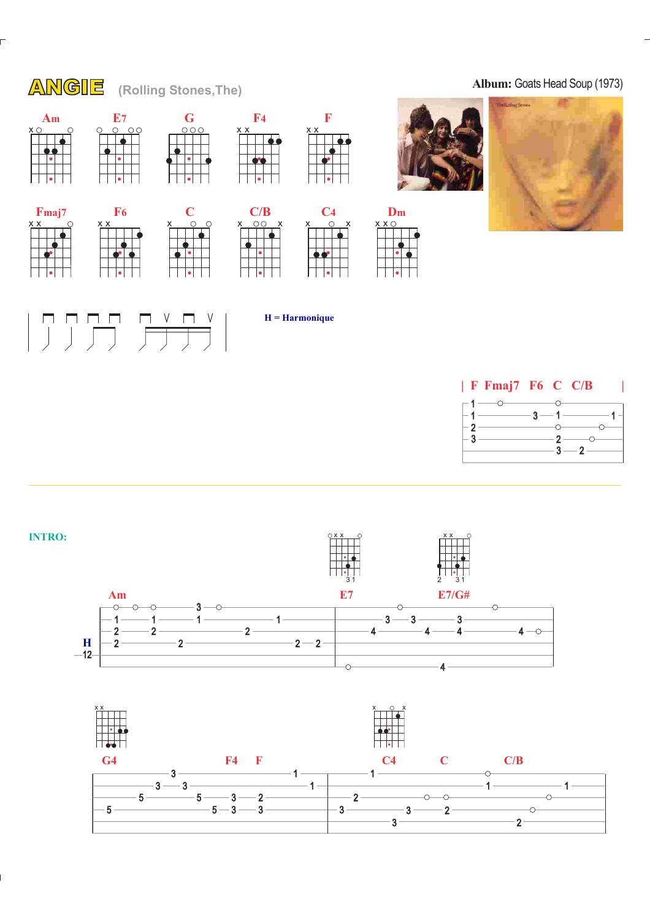



 $2 -$ 



3